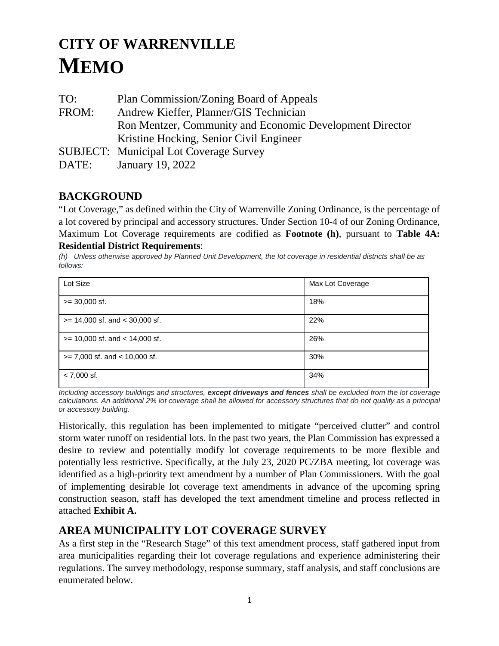# **CITY OF WARRENVILLE MEMO**

TO: Plan Commission/Zoning Board of Appeals FROM: Andrew Kieffer, Planner/GIS Technician Ron Mentzer, Community and Economic Development Director Kristine Hocking, Senior Civil Engineer SUBJECT: Municipal Lot Coverage Survey DATE: January 19, 2022

# **BACKGROUND**

"Lot Coverage," as defined within the City of Warrenville Zoning Ordinance, is the percentage of a lot covered by principal and accessory structures. Under Section 10-4 of our Zoning Ordinance, Maximum Lot Coverage requirements are codified as **Footnote (h)**, pursuant to **Table 4A: Residential District Requirements**:

*(h) Unless otherwise approved by Planned Unit Development, the lot coverage in residential districts shall be as follows:*

| Lot Size                           | Max Lot Coverage |
|------------------------------------|------------------|
| $>= 30,000$ sf.                    | 18%              |
| $>= 14,000$ sf. and $< 30,000$ sf. | 22%              |
| $>= 10,000$ sf. and $< 14,000$ sf. | 26%              |
| $>= 7,000$ sf. and $< 10,000$ sf.  | 30%              |
| $< 7,000$ sf.                      | 34%              |

*Including accessory buildings and structures, except driveways and fences shall be excluded from the lot coverage calculations. An additional 2% lot coverage shall be allowed for accessory structures that do not qualify as a principal or accessory building.*

Historically, this regulation has been implemented to mitigate "perceived clutter" and control storm water runoff on residential lots. In the past two years, the Plan Commission has expressed a desire to review and potentially modify lot coverage requirements to be more flexible and potentially less restrictive. Specifically, at the July 23, 2020 PC/ZBA meeting, lot coverage was identified as a high-priority text amendment by a number of Plan Commissioners. With the goal of implementing desirable lot coverage text amendments in advance of the upcoming spring construction season, staff has developed the text amendment timeline and process reflected in attached **Exhibit A.**

# **AREA MUNICIPALITY LOT COVERAGE SURVEY**

As a first step in the "Research Stage" of this text amendment process, staff gathered input from area municipalities regarding their lot coverage regulations and experience administering their regulations. The survey methodology, response summary, staff analysis, and staff conclusions are enumerated below.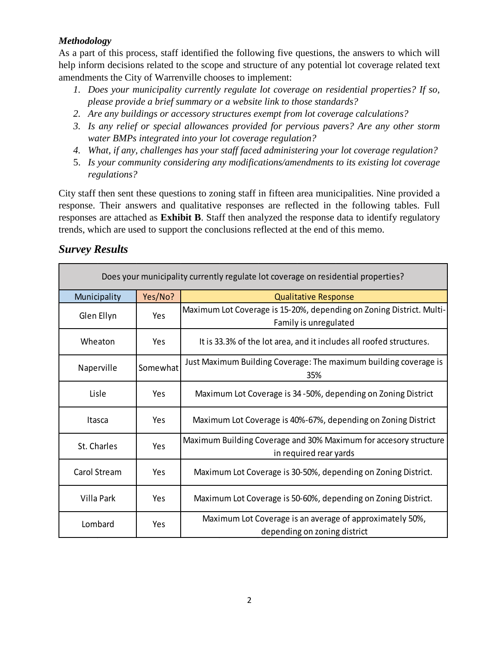## *Methodology*

As a part of this process, staff identified the following five questions, the answers to which will help inform decisions related to the scope and structure of any potential lot coverage related text amendments the City of Warrenville chooses to implement:

- *1. Does your municipality currently regulate lot coverage on residential properties? If so, please provide a brief summary or a website link to those standards?*
- *2. Are any buildings or accessory structures exempt from lot coverage calculations?*
- *3. Is any relief or special allowances provided for pervious pavers? Are any other storm water BMPs integrated into your lot coverage regulation?*
- *4. What, if any, challenges has your staff faced administering your lot coverage regulation?*
- 5. *Is your community considering any modifications/amendments to its existing lot coverage regulations?*

City staff then sent these questions to zoning staff in fifteen area municipalities. Nine provided a response. Their answers and qualitative responses are reflected in the following tables. Full responses are attached as **Exhibit B**. Staff then analyzed the response data to identify regulatory trends, which are used to support the conclusions reflected at the end of this memo.

## *Survey Results*

| Does your municipality currently regulate lot coverage on residential properties? |            |                                                                                               |  |
|-----------------------------------------------------------------------------------|------------|-----------------------------------------------------------------------------------------------|--|
| Municipality                                                                      | Yes/No?    | <b>Qualitative Response</b>                                                                   |  |
| Glen Ellyn                                                                        | <b>Yes</b> | Maximum Lot Coverage is 15-20%, depending on Zoning District. Multi-<br>Family is unregulated |  |
| Wheaton                                                                           | Yes.       | It is 33.3% of the lot area, and it includes all roofed structures.                           |  |
| Naperville                                                                        | Somewhat   | Just Maximum Building Coverage: The maximum building coverage is<br>35%                       |  |
| Lisle                                                                             | Yes        | Maximum Lot Coverage is 34-50%, depending on Zoning District                                  |  |
| Itasca                                                                            | Yes        | Maximum Lot Coverage is 40%-67%, depending on Zoning District                                 |  |
| St. Charles                                                                       | Yes        | Maximum Building Coverage and 30% Maximum for accesory structure<br>in required rear yards    |  |
| Carol Stream                                                                      | Yes.       | Maximum Lot Coverage is 30-50%, depending on Zoning District.                                 |  |
| Villa Park                                                                        | Yes        | Maximum Lot Coverage is 50-60%, depending on Zoning District.                                 |  |
| Lombard                                                                           | Yes        | Maximum Lot Coverage is an average of approximately 50%,<br>depending on zoning district      |  |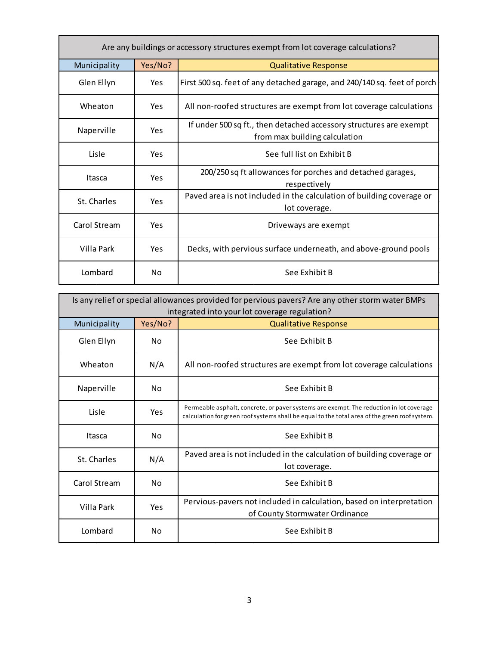| Are any buildings or accessory structures exempt from lot coverage calculations? |            |                                                                                                     |  |
|----------------------------------------------------------------------------------|------------|-----------------------------------------------------------------------------------------------------|--|
| Municipality                                                                     | Yes/No?    | <b>Qualitative Response</b>                                                                         |  |
| Glen Ellyn                                                                       | <b>Yes</b> | First 500 sq. feet of any detached garage, and 240/140 sq. feet of porch                            |  |
| Wheaton                                                                          | <b>Yes</b> | All non-roofed structures are exempt from lot coverage calculations                                 |  |
| Naperville                                                                       | Yes        | If under 500 sq ft., then detached accessory structures are exempt<br>from max building calculation |  |
| Lisle                                                                            | <b>Yes</b> | See full list on Exhibit B                                                                          |  |
| Itasca                                                                           | Yes        | 200/250 sq ft allowances for porches and detached garages,<br>respectively                          |  |
| St. Charles                                                                      | <b>Yes</b> | Paved area is not included in the calculation of building coverage or<br>lot coverage.              |  |
| Carol Stream                                                                     | Yes        | Driveways are exempt                                                                                |  |
| Villa Park                                                                       | Yes        | Decks, with pervious surface underneath, and above-ground pools                                     |  |
| Lombard                                                                          | No         | See Exhibit B                                                                                       |  |

| Is any relief or special allowances provided for pervious pavers? Are any other storm water BMPs |                                               |                                                                                                                                                                                          |  |  |
|--------------------------------------------------------------------------------------------------|-----------------------------------------------|------------------------------------------------------------------------------------------------------------------------------------------------------------------------------------------|--|--|
|                                                                                                  | integrated into your lot coverage regulation? |                                                                                                                                                                                          |  |  |
| Municipality                                                                                     | Yes/No?                                       | <b>Qualitative Response</b>                                                                                                                                                              |  |  |
| Glen Ellyn                                                                                       | No.                                           | See Exhibit B                                                                                                                                                                            |  |  |
| Wheaton                                                                                          | N/A                                           | All non-roofed structures are exempt from lot coverage calculations                                                                                                                      |  |  |
| Naperville                                                                                       | No.                                           | See Exhibit B                                                                                                                                                                            |  |  |
| Lisle                                                                                            | Yes                                           | Permeable asphalt, concrete, or paver systems are exempt. The reduction in lot coverage<br>calculation for green roof systems shall be equal to the total area of the green roof system. |  |  |
| Itasca                                                                                           | No.                                           | See Exhibit B                                                                                                                                                                            |  |  |
| St. Charles                                                                                      | N/A                                           | Paved area is not included in the calculation of building coverage or<br>lot coverage.                                                                                                   |  |  |
| Carol Stream                                                                                     | No.                                           | See Exhibit B                                                                                                                                                                            |  |  |
| Villa Park                                                                                       | Yes                                           | Pervious-pavers not included in calculation, based on interpretation<br>of County Stormwater Ordinance                                                                                   |  |  |
| Lombard                                                                                          | No.                                           | See Exhibit B                                                                                                                                                                            |  |  |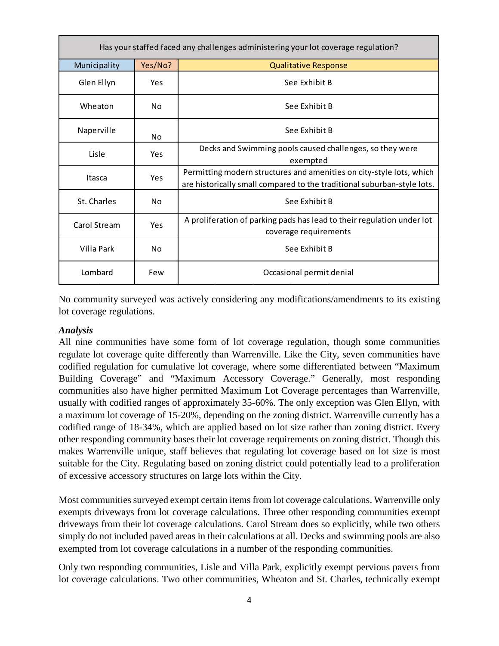| Has your staffed faced any challenges administering your lot coverage regulation? |            |                                                                                                                                                 |  |
|-----------------------------------------------------------------------------------|------------|-------------------------------------------------------------------------------------------------------------------------------------------------|--|
| Municipality                                                                      | Yes/No?    | <b>Qualitative Response</b>                                                                                                                     |  |
| Glen Ellyn                                                                        | <b>Yes</b> | See Exhibit B                                                                                                                                   |  |
| Wheaton                                                                           | No         | See Exhibit B                                                                                                                                   |  |
| Naperville                                                                        | No.        | See Exhibit B                                                                                                                                   |  |
| Lisle                                                                             | Yes        | Decks and Swimming pools caused challenges, so they were<br>exempted                                                                            |  |
| Itasca                                                                            | Yes        | Permitting modern structures and amenities on city-style lots, which<br>are historically small compared to the traditional suburban-style lots. |  |
| St. Charles                                                                       | No.        | See Exhibit B                                                                                                                                   |  |
| Carol Stream                                                                      | Yes        | A proliferation of parking pads has lead to their regulation under lot<br>coverage requirements                                                 |  |
| Villa Park                                                                        | No.        | See Exhibit B                                                                                                                                   |  |
| Lombard                                                                           | Few        | Occasional permit denial                                                                                                                        |  |

No community surveyed was actively considering any modifications/amendments to its existing lot coverage regulations.

## *Analysis*

All nine communities have some form of lot coverage regulation, though some communities regulate lot coverage quite differently than Warrenville. Like the City, seven communities have codified regulation for cumulative lot coverage, where some differentiated between "Maximum Building Coverage" and "Maximum Accessory Coverage." Generally, most responding communities also have higher permitted Maximum Lot Coverage percentages than Warrenville, usually with codified ranges of approximately 35-60%. The only exception was Glen Ellyn, with a maximum lot coverage of 15-20%, depending on the zoning district. Warrenville currently has a codified range of 18-34%, which are applied based on lot size rather than zoning district. Every other responding community bases their lot coverage requirements on zoning district. Though this makes Warrenville unique, staff believes that regulating lot coverage based on lot size is most suitable for the City. Regulating based on zoning district could potentially lead to a proliferation of excessive accessory structures on large lots within the City.

Most communities surveyed exempt certain items from lot coverage calculations. Warrenville only exempts driveways from lot coverage calculations. Three other responding communities exempt driveways from their lot coverage calculations. Carol Stream does so explicitly, while two others simply do not included paved areas in their calculations at all. Decks and swimming pools are also exempted from lot coverage calculations in a number of the responding communities.

Only two responding communities, Lisle and Villa Park, explicitly exempt pervious pavers from lot coverage calculations. Two other communities, Wheaton and St. Charles, technically exempt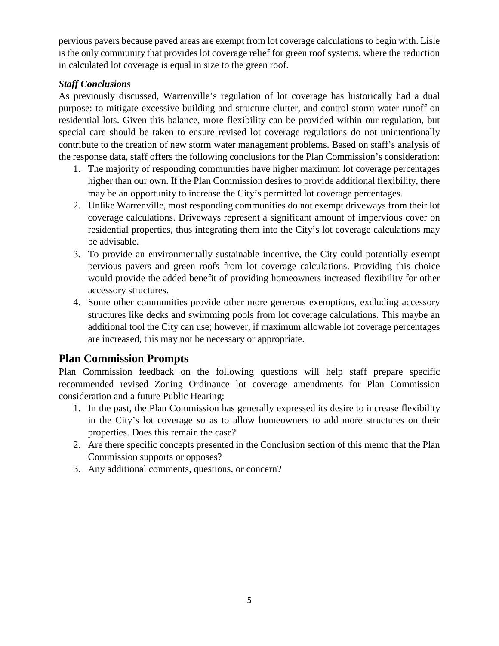pervious pavers because paved areas are exempt from lot coverage calculations to begin with. Lisle is the only community that provides lot coverage relief for green roof systems, where the reduction in calculated lot coverage is equal in size to the green roof.

## *Staff Conclusions*

As previously discussed, Warrenville's regulation of lot coverage has historically had a dual purpose: to mitigate excessive building and structure clutter, and control storm water runoff on residential lots. Given this balance, more flexibility can be provided within our regulation, but special care should be taken to ensure revised lot coverage regulations do not unintentionally contribute to the creation of new storm water management problems. Based on staff's analysis of the response data, staff offers the following conclusions for the Plan Commission's consideration:

- 1. The majority of responding communities have higher maximum lot coverage percentages higher than our own. If the Plan Commission desires to provide additional flexibility, there may be an opportunity to increase the City's permitted lot coverage percentages.
- 2. Unlike Warrenville, most responding communities do not exempt driveways from their lot coverage calculations. Driveways represent a significant amount of impervious cover on residential properties, thus integrating them into the City's lot coverage calculations may be advisable.
- 3. To provide an environmentally sustainable incentive, the City could potentially exempt pervious pavers and green roofs from lot coverage calculations. Providing this choice would provide the added benefit of providing homeowners increased flexibility for other accessory structures.
- 4. Some other communities provide other more generous exemptions, excluding accessory structures like decks and swimming pools from lot coverage calculations. This maybe an additional tool the City can use; however, if maximum allowable lot coverage percentages are increased, this may not be necessary or appropriate.

# **Plan Commission Prompts**

Plan Commission feedback on the following questions will help staff prepare specific recommended revised Zoning Ordinance lot coverage amendments for Plan Commission consideration and a future Public Hearing:

- 1. In the past, the Plan Commission has generally expressed its desire to increase flexibility in the City's lot coverage so as to allow homeowners to add more structures on their properties. Does this remain the case?
- 2. Are there specific concepts presented in the Conclusion section of this memo that the Plan Commission supports or opposes?
- 3. Any additional comments, questions, or concern?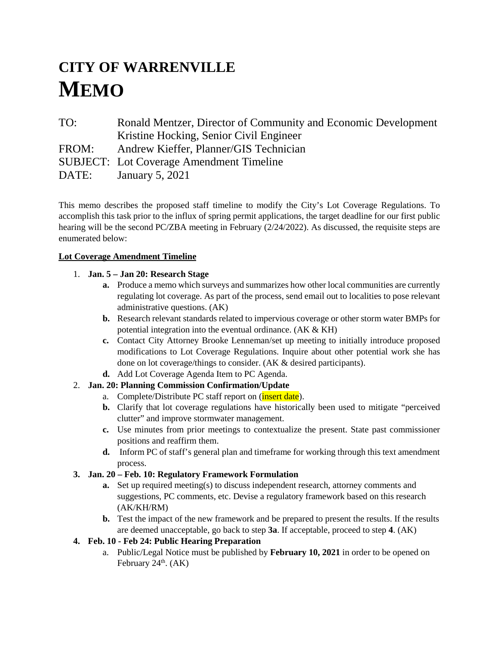# **CITY OF WARRENVILLE MEMO**

TO: Ronald Mentzer, Director of Community and Economic Development Kristine Hocking, Senior Civil Engineer FROM: Andrew Kieffer, Planner/GIS Technician SUBJECT: Lot Coverage Amendment Timeline DATE: January 5, 2021

This memo describes the proposed staff timeline to modify the City's Lot Coverage Regulations. To accomplish this task prior to the influx of spring permit applications, the target deadline for our first public hearing will be the second PC/ZBA meeting in February (2/24/2022). As discussed, the requisite steps are enumerated below:

#### **Lot Coverage Amendment Timeline**

#### 1. **Jan. 5 – Jan 20: Research Stage**

- **a.** Produce a memo which surveys and summarizes how other local communities are currently regulating lot coverage. As part of the process, send email out to localities to pose relevant administrative questions. (AK)
- **b.** Research relevant standards related to impervious coverage or other storm water BMPs for potential integration into the eventual ordinance. (AK & KH)
- **c.** Contact City Attorney Brooke Lenneman/set up meeting to initially introduce proposed modifications to Lot Coverage Regulations. Inquire about other potential work she has done on lot coverage/things to consider. (AK & desired participants).
- **d.** Add Lot Coverage Agenda Item to PC Agenda.

## 2. **Jan. 20: Planning Commission Confirmation/Update**

- a. Complete/Distribute PC staff report on (*insert date*).
- **b.** Clarify that lot coverage regulations have historically been used to mitigate "perceived clutter" and improve stormwater management.
- **c.** Use minutes from prior meetings to contextualize the present. State past commissioner positions and reaffirm them.
- **d.** Inform PC of staff's general plan and timeframe for working through this text amendment process.

## **3. Jan. 20 – Feb. 10: Regulatory Framework Formulation**

- **a.** Set up required meeting(s) to discuss independent research, attorney comments and suggestions, PC comments, etc. Devise a regulatory framework based on this research (AK/KH/RM)
- **b.** Test the impact of the new framework and be prepared to present the results. If the results are deemed unacceptable, go back to step **3a**. If acceptable, proceed to step **4**. (AK)

## **4. Feb. 10 - Feb 24: Public Hearing Preparation**

a. Public/Legal Notice must be published by **February 10, 2021** in order to be opened on February  $24<sup>th</sup>$ . (AK)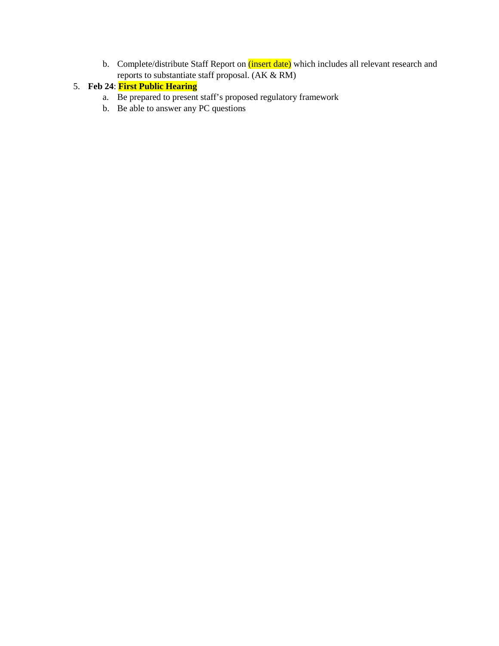b. Complete/distribute Staff Report on (insert date) which includes all relevant research and reports to substantiate staff proposal. (AK & RM)

## 5. **Feb 24**: **First Public Hearing**

- a. Be prepared to present staff's proposed regulatory framework
- b. Be able to answer any PC questions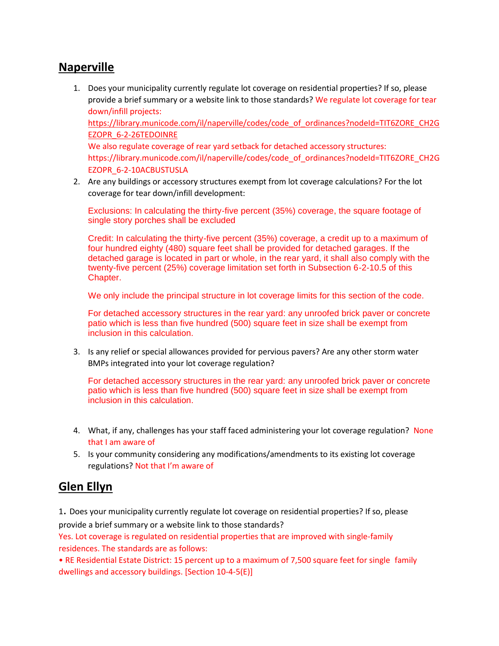# **Naperville**

- 1. Does your municipality currently regulate lot coverage on residential properties? If so, please provide a brief summary or a website link to those standards? We regulate lot coverage for tear down/infill projects: [https://library.municode.com/il/naperville/codes/code\\_of\\_ordinances?nodeId=TIT6ZORE\\_CH2G](https://library.municode.com/il/naperville/codes/code_of_ordinances?nodeId=TIT6ZORE_CH2GEZOPR_6-2-26TEDOINRE) [EZOPR\\_6-2-26TEDOINRE](https://library.municode.com/il/naperville/codes/code_of_ordinances?nodeId=TIT6ZORE_CH2GEZOPR_6-2-26TEDOINRE) We also regulate coverage of rear yard setback for detached accessory structures: https://library.municode.com/il/naperville/codes/code\_of\_ordinances?nodeId=TIT6ZORE\_CH2G EZOPR\_6-2-10ACBUSTUSLA
- 2. Are any buildings or accessory structures exempt from lot coverage calculations? For the lot coverage for tear down/infill development:

Exclusions: In calculating the thirty-five percent (35%) coverage, the square footage of single story porches shall be excluded

Credit: In calculating the thirty-five percent (35%) coverage, a credit up to a maximum of four hundred eighty (480) square feet shall be provided for detached garages. If the detached garage is located in part or whole, in the rear yard, it shall also comply with the twenty-five percent (25%) coverage limitation set forth in Subsection 6-2-10.5 of this Chapter.

We only include the principal structure in lot coverage limits for this section of the code.

For detached accessory structures in the rear yard: any unroofed brick paver or concrete patio which is less than five hundred (500) square feet in size shall be exempt from inclusion in this calculation.

3. Is any relief or special allowances provided for pervious pavers? Are any other storm water BMPs integrated into your lot coverage regulation?

For detached accessory structures in the rear yard: any unroofed brick paver or concrete patio which is less than five hundred (500) square feet in size shall be exempt from inclusion in this calculation.

- 4. What, if any, challenges has your staff faced administering your lot coverage regulation? None that I am aware of
- 5. Is your community considering any modifications/amendments to its existing lot coverage regulations? Not that I'm aware of

# **Glen Ellyn**

<sup>1</sup>. Does your municipality currently regulate lot coverage on residential properties? If so, please

provide a brief summary or a website link to those standards?

Yes. Lot coverage is regulated on residential properties that are improved with single-family residences. The standards are as follows:

• RE Residential Estate District: 15 percent up to a maximum of 7,500 square feet for single family dwellings and accessory buildings. [Section 10-4-5(E)]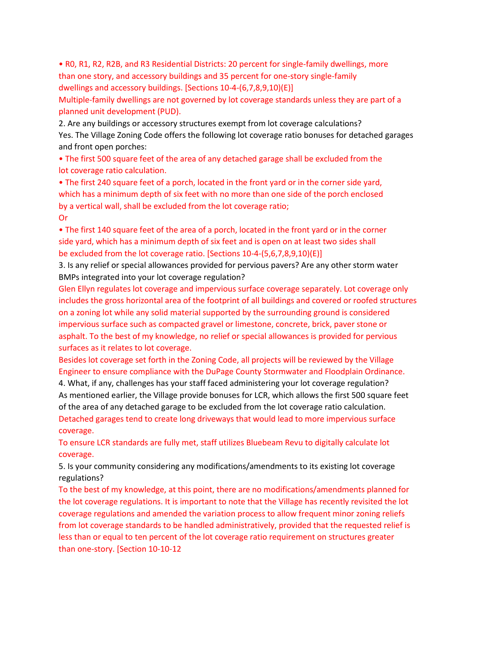• R0, R1, R2, R2B, and R3 Residential Districts: 20 percent for single-family dwellings, more than one story, and accessory buildings and 35 percent for one-story single-family dwellings and accessory buildings. [Sections 10-4-(6,7,8,9,10)(E)]

Multiple-family dwellings are not governed by lot coverage standards unless they are part of a planned unit development (PUD).

2. Are any buildings or accessory structures exempt from lot coverage calculations? Yes. The Village Zoning Code offers the following lot coverage ratio bonuses for detached garages and front open porches:

• The first 500 square feet of the area of any detached garage shall be excluded from the lot coverage ratio calculation.

• The first 240 square feet of a porch, located in the front yard or in the corner side yard, which has a minimum depth of six feet with no more than one side of the porch enclosed by a vertical wall, shall be excluded from the lot coverage ratio; Or

• The first 140 square feet of the area of a porch, located in the front yard or in the corner side yard, which has a minimum depth of six feet and is open on at least two sides shall be excluded from the lot coverage ratio. [Sections 10-4-(5,6,7,8,9,10)(E)]

3. Is any relief or special allowances provided for pervious pavers? Are any other storm water BMPs integrated into your lot coverage regulation?

Glen Ellyn regulates lot coverage and impervious surface coverage separately. Lot coverage only includes the gross horizontal area of the footprint of all buildings and covered or roofed structures on a zoning lot while any solid material supported by the surrounding ground is considered impervious surface such as compacted gravel or limestone, concrete, brick, paver stone or asphalt. To the best of my knowledge, no relief or special allowances is provided for pervious surfaces as it relates to lot coverage.

Besides lot coverage set forth in the Zoning Code, all projects will be reviewed by the Village Engineer to ensure compliance with the DuPage County Stormwater and Floodplain Ordinance.

4. What, if any, challenges has your staff faced administering your lot coverage regulation? As mentioned earlier, the Village provide bonuses for LCR, which allows the first 500 square feet of the area of any detached garage to be excluded from the lot coverage ratio calculation. Detached garages tend to create long driveways that would lead to more impervious surface coverage.

To ensure LCR standards are fully met, staff utilizes Bluebeam Revu to digitally calculate lot coverage.

5. Is your community considering any modifications/amendments to its existing lot coverage regulations?

To the best of my knowledge, at this point, there are no modifications/amendments planned for the lot coverage regulations. It is important to note that the Village has recently revisited the lot coverage regulations and amended the variation process to allow frequent minor zoning reliefs from lot coverage standards to be handled administratively, provided that the requested relief is less than or equal to ten percent of the lot coverage ratio requirement on structures greater than one-story. [Section 10-10-12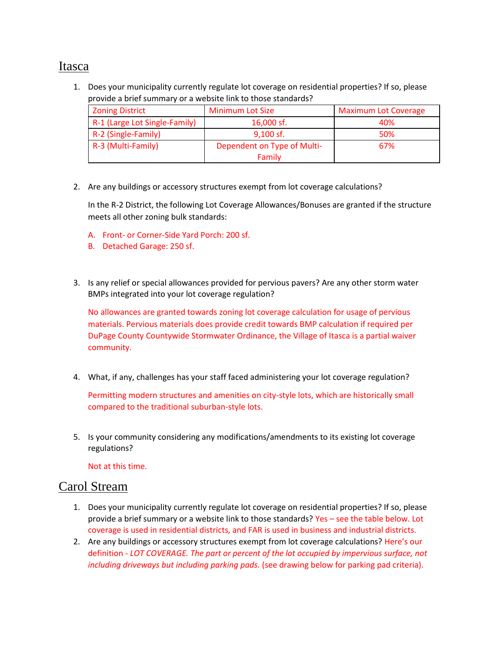# Itasca

1. Does your municipality currently regulate lot coverage on residential properties? If so, please provide a brief summary or a website link to those standards?

| <b>Zoning District</b>        | <b>Minimum Lot Size</b>     | <b>Maximum Lot Coverage</b> |
|-------------------------------|-----------------------------|-----------------------------|
| R-1 (Large Lot Single-Family) | 16,000 sf.                  | 40%                         |
| R-2 (Single-Family)           | $9,100$ sf.                 | 50%                         |
| R-3 (Multi-Family)            | Dependent on Type of Multi- | 67%                         |
|                               | Family                      |                             |

2. Are any buildings or accessory structures exempt from lot coverage calculations?

In the R-2 District, the following Lot Coverage Allowances/Bonuses are granted if the structure meets all other zoning bulk standards:

- A. Front- or Corner-Side Yard Porch: 200 sf.
- B. Detached Garage: 250 sf.
- 3. Is any relief or special allowances provided for pervious pavers? Are any other storm water BMPs integrated into your lot coverage regulation?

No allowances are granted towards zoning lot coverage calculation for usage of pervious materials. Pervious materials does provide credit towards BMP calculation if required per DuPage County Countywide Stormwater Ordinance, the Village of Itasca is a partial waiver community.

4. What, if any, challenges has your staff faced administering your lot coverage regulation?

Permitting modern structures and amenities on city-style lots, which are historically small compared to the traditional suburban-style lots.

5. Is your community considering any modifications/amendments to its existing lot coverage regulations?

Not at this time.

## Carol Stream

- 1. Does your municipality currently regulate lot coverage on residential properties? If so, please provide a brief summary or a website link to those standards? Yes – see the table below. Lot coverage is used in residential districts, and FAR is used in business and industrial districts.
- 2. Are any buildings or accessory structures exempt from lot coverage calculations? Here's our definition - *LOT COVERAGE. The part or percent of the lot occupied by impervious surface, not including driveways but including parking pads.* (see drawing below for parking pad criteria).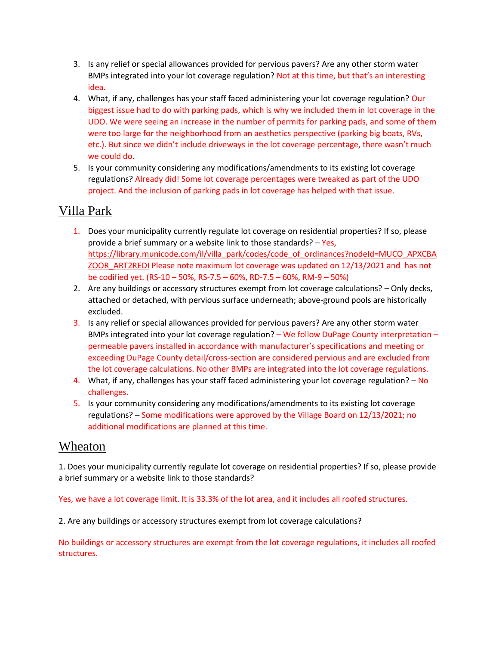- 3. Is any relief or special allowances provided for pervious pavers? Are any other storm water BMPs integrated into your lot coverage regulation? Not at this time, but that's an interesting idea.
- 4. What, if any, challenges has your staff faced administering your lot coverage regulation? Our biggest issue had to do with parking pads, which is why we included them in lot coverage in the UDO. We were seeing an increase in the number of permits for parking pads, and some of them were too large for the neighborhood from an aesthetics perspective (parking big boats, RVs, etc.). But since we didn't include driveways in the lot coverage percentage, there wasn't much we could do.
- 5. Is your community considering any modifications/amendments to its existing lot coverage regulations? Already did! Some lot coverage percentages were tweaked as part of the UDO project. And the inclusion of parking pads in lot coverage has helped with that issue.

# Villa Park

- 1. Does your municipality currently regulate lot coverage on residential properties? If so, please provide a brief summary or a website link to those standards?  $-$  Yes, [https://library.municode.com/il/villa\\_park/codes/code\\_of\\_ordinances?nodeId=MUCO\\_APXCBA](https://library.municode.com/il/villa_park/codes/code_of_ordinances?nodeId=MUCO_APXCBAZOOR_ART2REDI) [ZOOR\\_ART2REDI](https://library.municode.com/il/villa_park/codes/code_of_ordinances?nodeId=MUCO_APXCBAZOOR_ART2REDI) Please note maximum lot coverage was updated on 12/13/2021 and has not be codified yet. (RS-10 – 50%, RS-7.5 – 60%, RD-7.5 – 60%, RM-9 – 50%)
- 2. Are any buildings or accessory structures exempt from lot coverage calculations? Only decks, attached or detached, with pervious surface underneath; above-ground pools are historically excluded.
- 3. Is any relief or special allowances provided for pervious pavers? Are any other storm water BMPs integrated into your lot coverage regulation? – We follow DuPage County interpretation – permeable pavers installed in accordance with manufacturer's specifications and meeting or exceeding DuPage County detail/cross-section are considered pervious and are excluded from the lot coverage calculations. No other BMPs are integrated into the lot coverage regulations.
- 4. What, if any, challenges has your staff faced administering your lot coverage regulation? No challenges.
- 5. Is your community considering any modifications/amendments to its existing lot coverage regulations? – Some modifications were approved by the Village Board on 12/13/2021; no additional modifications are planned at this time.

# Wheaton

1. Does your municipality currently regulate lot coverage on residential properties? If so, please provide a brief summary or a website link to those standards?

Yes, we have a lot coverage limit. It is 33.3% of the lot area, and it includes all roofed structures.

2. Are any buildings or accessory structures exempt from lot coverage calculations?

No buildings or accessory structures are exempt from the lot coverage regulations, it includes all roofed structures.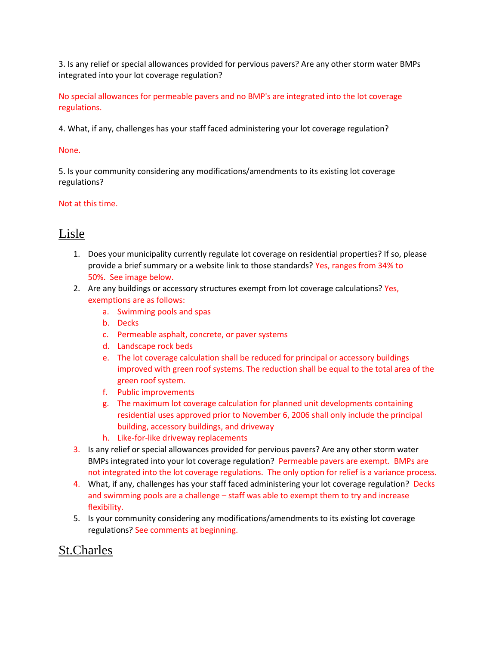3. Is any relief or special allowances provided for pervious pavers? Are any other storm water BMPs integrated into your lot coverage regulation?

No special allowances for permeable pavers and no BMP's are integrated into the lot coverage regulations.

4. What, if any, challenges has your staff faced administering your lot coverage regulation?

#### None.

5. Is your community considering any modifications/amendments to its existing lot coverage regulations?

#### Not at this time.

## Lisle

- 1. Does your municipality currently regulate lot coverage on residential properties? If so, please provide a brief summary or a website link to those standards? Yes, ranges from 34% to 50%. See image below.
- 2. Are any buildings or accessory structures exempt from lot coverage calculations? Yes, exemptions are as follows:
	- a. Swimming pools and spas
	- b. Decks
	- c. Permeable asphalt, concrete, or paver systems
	- d. Landscape rock beds
	- e. The lot coverage calculation shall be reduced for principal or accessory buildings improved with green roof systems. The reduction shall be equal to the total area of the green roof system.
	- f. Public improvements
	- g. The maximum lot coverage calculation for planned unit developments containing residential uses approved prior to November 6, 2006 shall only include the principal building, accessory buildings, and driveway
	- h. Like-for-like driveway replacements
- 3. Is any relief or special allowances provided for pervious pavers? Are any other storm water BMPs integrated into your lot coverage regulation? Permeable pavers are exempt. BMPs are not integrated into the lot coverage regulations. The only option for relief is a variance process.
- 4. What, if any, challenges has your staff faced administering your lot coverage regulation? Decks and swimming pools are a challenge – staff was able to exempt them to try and increase flexibility.
- 5. Is your community considering any modifications/amendments to its existing lot coverage regulations? See comments at beginning.

# St.Charles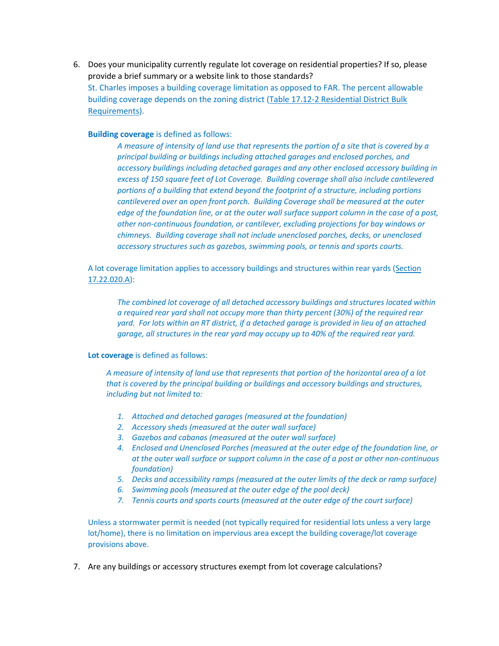6. Does your municipality currently regulate lot coverage on residential properties? If so, please provide a brief summary or a website link to those standards? St. Charles imposes a building coverage limitation as opposed to FAR. The percent allowable building coverage depends on the zoning district [\(Table 17.12-2 Residential District Bulk](https://codebook.stcharlesil.gov/1712-%E2%80%93-residential-districts/1712030)  [Requirements\)](https://codebook.stcharlesil.gov/1712-%E2%80%93-residential-districts/1712030).

**Building coverage** is defined as follows:

*A measure of intensity of land use that represents the portion of a site that is covered by a principal building or buildings including attached garages and enclosed porches, and accessory buildings including detached garages and any other enclosed accessory building in excess of 150 square feet of Lot Coverage. Building coverage shall also include cantilevered portions of a building that extend beyond the footprint of a structure, including portions cantilevered over an open front porch. Building Coverage shall be measured at the outer edge of the foundation line, or at the outer wall surface support column in the case of a post, other non-continuous foundation, or cantilever, excluding projections for bay windows or chimneys. Building coverage shall not include unenclosed porches, decks, or unenclosed accessory structures such as gazebos, swimming pools, or tennis and sports courts.*

A lot coverage limitation applies to accessory buildings and structures within rear yards [\(Section](https://codebook.stcharlesil.gov/1722-%E2%80%93-general-provisions/1722020)  [17.22.020.A\)](https://codebook.stcharlesil.gov/1722-%E2%80%93-general-provisions/1722020):

*The combined lot coverage of all detached accessory buildings and structures located within a required rear yard shall not occupy more than thirty percent (30%) of the required rear yard. For lots within an RT district, if a detached garage is provided in lieu of an attached garage, all structures in the rear yard may occupy up to 40% of the required rear yard.*

#### **Lot coverage** is defined as follows:

*A measure of intensity of land use that represents that portion of the horizontal area of a lot that is covered by the principal building or buildings and accessory buildings and structures, including but not limited to:*

- *1. Attached and detached garages (measured at the foundation)*
- *2. Accessory sheds (measured at the outer wall surface)*
- *3. Gazebos and cabanas (measured at the outer wall surface)*
- *4. Enclosed and Unenclosed Porches (measured at the outer edge of the foundation line, or at the outer wall surface or support column in the case of a post or other non-continuous foundation)*
- *5. Decks and accessibility ramps (measured at the outer limits of the deck or ramp surface)*
- *6. Swimming pools (measured at the outer edge of the pool deck)*
- *7. Tennis courts and sports courts (measured at the outer edge of the court surface)*

Unless a stormwater permit is needed (not typically required for residential lots unless a very large lot/home), there is no limitation on impervious area except the building coverage/lot coverage provisions above.

7. Are any buildings or accessory structures exempt from lot coverage calculations?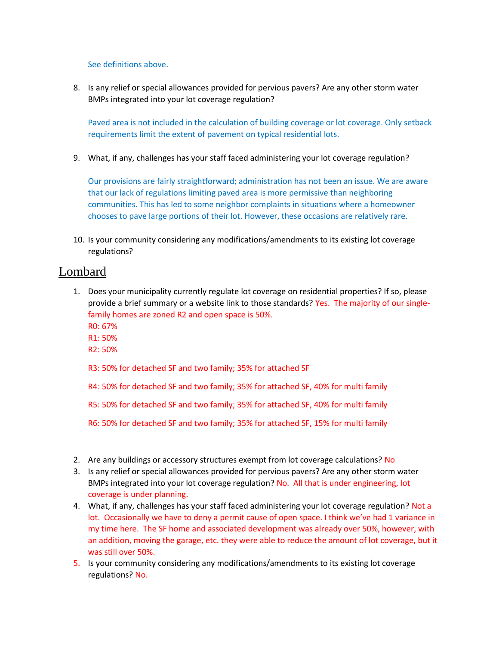See definitions above.

8. Is any relief or special allowances provided for pervious pavers? Are any other storm water BMPs integrated into your lot coverage regulation?

Paved area is not included in the calculation of building coverage or lot coverage. Only setback requirements limit the extent of pavement on typical residential lots.

9. What, if any, challenges has your staff faced administering your lot coverage regulation?

Our provisions are fairly straightforward; administration has not been an issue. We are aware that our lack of regulations limiting paved area is more permissive than neighboring communities. This has led to some neighbor complaints in situations where a homeowner chooses to pave large portions of their lot. However, these occasions are relatively rare.

10. Is your community considering any modifications/amendments to its existing lot coverage regulations?

## Lombard

- 1. Does your municipality currently regulate lot coverage on residential properties? If so, please provide a brief summary or a website link to those standards? Yes. The majority of our singlefamily homes are zoned R2 and open space is 50%.
	- R0: 67%
	- R1: 50%
	- R2: 50%
	- R3: 50% for detached SF and two family; 35% for attached SF
	- R4: 50% for detached SF and two family; 35% for attached SF, 40% for multi family
	- R5: 50% for detached SF and two family; 35% for attached SF, 40% for multi family
	- R6: 50% for detached SF and two family; 35% for attached SF, 15% for multi family
- 2. Are any buildings or accessory structures exempt from lot coverage calculations? No
- 3. Is any relief or special allowances provided for pervious pavers? Are any other storm water BMPs integrated into your lot coverage regulation? No. All that is under engineering, lot coverage is under planning.
- 4. What, if any, challenges has your staff faced administering your lot coverage regulation? Not a lot. Occasionally we have to deny a permit cause of open space. I think we've had 1 variance in my time here. The SF home and associated development was already over 50%, however, with an addition, moving the garage, etc. they were able to reduce the amount of lot coverage, but it was still over 50%.
- 5. Is your community considering any modifications/amendments to its existing lot coverage regulations? No.